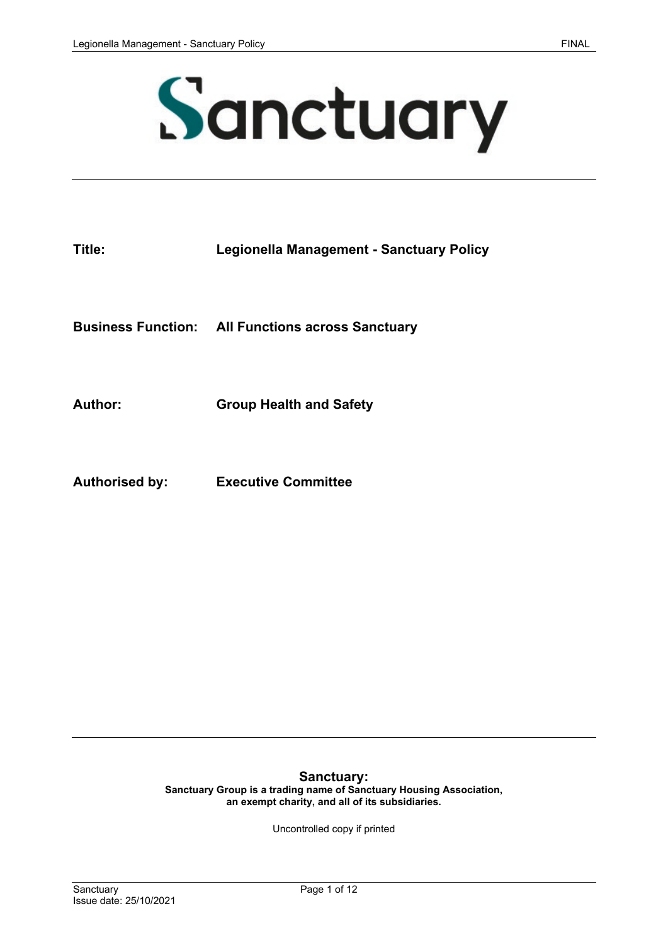

| Title: | Legionella Management - Sanctuary Policy |
|--------|------------------------------------------|
|        |                                          |

**Business Function: All Functions across Sanctuary**

**Author: Group Health and Safety** 

**Authorised by: Executive Committee**

**Sanctuary: Sanctuary Group is a trading name of Sanctuary Housing Association, an exempt charity, and all of its subsidiaries.**

Uncontrolled copy if printed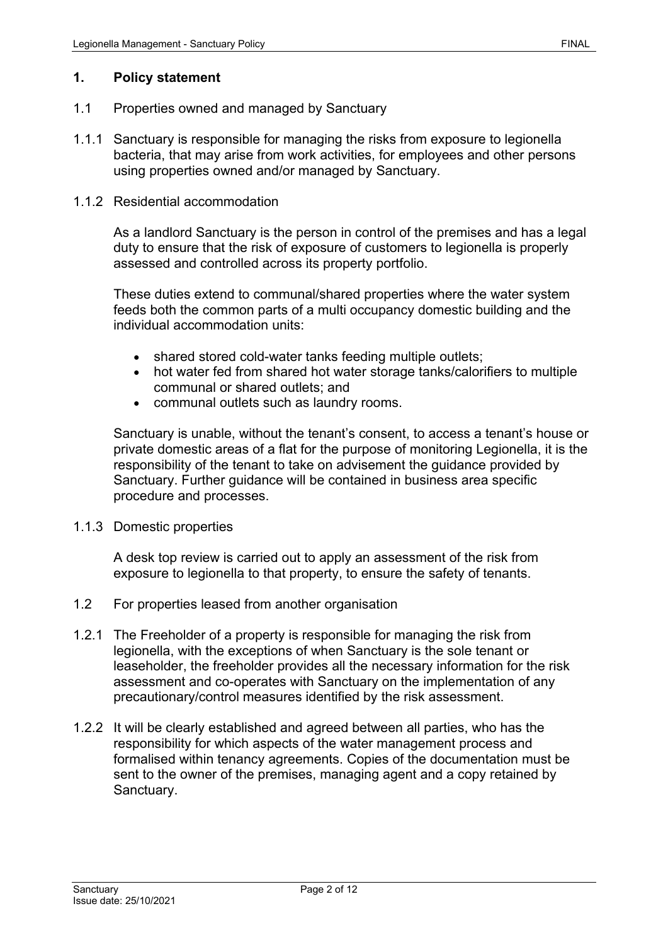### **1. Policy statement**

- 1.1 Properties owned and managed by Sanctuary
- 1.1.1 Sanctuary is responsible for managing the risks from exposure to legionella bacteria, that may arise from work activities, for employees and other persons using properties owned and/or managed by Sanctuary.

#### 1.1.2 Residential accommodation

As a landlord Sanctuary is the person in control of the premises and has a legal duty to ensure that the risk of exposure of customers to legionella is properly assessed and controlled across its property portfolio.

These duties extend to communal/shared properties where the water system feeds both the common parts of a multi occupancy domestic building and the individual accommodation units:

- shared stored cold-water tanks feeding multiple outlets;
- hot water fed from shared hot water storage tanks/calorifiers to multiple communal or shared outlets; and
- communal outlets such as laundry rooms.

Sanctuary is unable, without the tenant's consent, to access a tenant's house or private domestic areas of a flat for the purpose of monitoring Legionella, it is the responsibility of the tenant to take on advisement the guidance provided by Sanctuary. Further guidance will be contained in business area specific procedure and processes.

#### 1.1.3 Domestic properties

A desk top review is carried out to apply an assessment of the risk from exposure to legionella to that property, to ensure the safety of tenants.

- 1.2 For properties leased from another organisation
- 1.2.1 The Freeholder of a property is responsible for managing the risk from legionella, with the exceptions of when Sanctuary is the sole tenant or leaseholder, the freeholder provides all the necessary information for the risk assessment and co-operates with Sanctuary on the implementation of any precautionary/control measures identified by the risk assessment.
- 1.2.2 It will be clearly established and agreed between all parties, who has the responsibility for which aspects of the water management process and formalised within tenancy agreements. Copies of the documentation must be sent to the owner of the premises, managing agent and a copy retained by Sanctuary.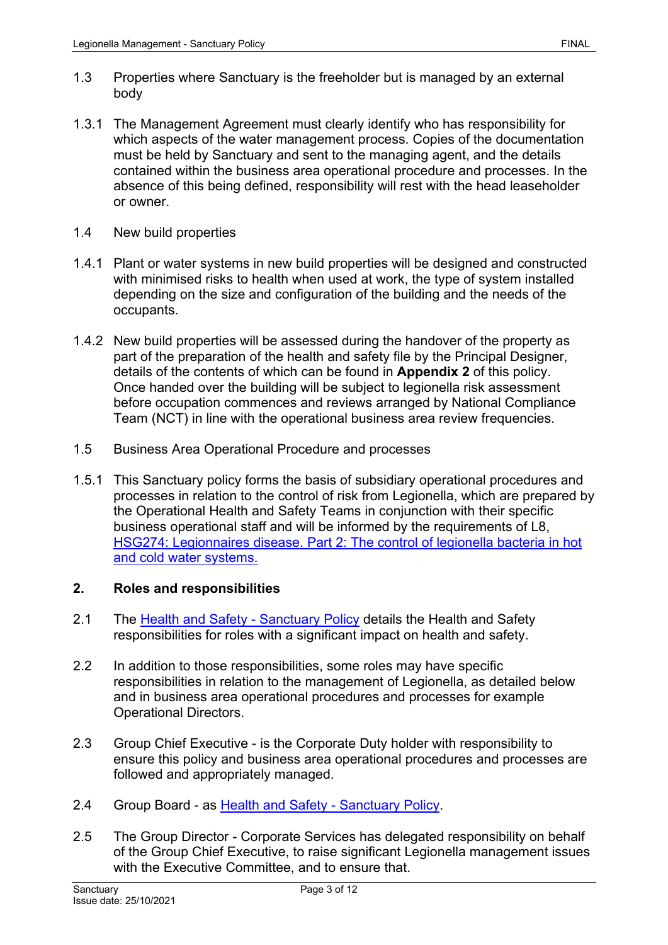- 1.3 Properties where Sanctuary is the freeholder but is managed by an external body
- 1.3.1 The Management Agreement must clearly identify who has responsibility for which aspects of the water management process. Copies of the documentation must be held by Sanctuary and sent to the managing agent, and the details contained within the business area operational procedure and processes. In the absence of this being defined, responsibility will rest with the head leaseholder or owner.
- 1.4 New build properties
- 1.4.1 Plant or water systems in new build properties will be designed and constructed with minimised risks to health when used at work, the type of system installed depending on the size and configuration of the building and the needs of the occupants.
- 1.4.2 New build properties will be assessed during the handover of the property as part of the preparation of the health and safety file by the Principal Designer, details of the contents of which can be found in **Appendix 2** of this policy. Once handed over the building will be subject to legionella risk assessment before occupation commences and reviews arranged by National Compliance Team (NCT) in line with the operational business area review frequencies.
- 1.5 Business Area Operational Procedure and processes
- 1.5.1 This Sanctuary policy forms the basis of subsidiary operational procedures and processes in relation to the control of risk from Legionella, which are prepared by the Operational Health and Safety Teams in conjunction with their specific business operational staff and will be informed by the requirements of L8, [HSG274: Legionnaires disease. Part 2: The control of legionella bacteria in hot](http://www.hse.gov.uk/pubns/priced/hsg274part2.pdf)  [and cold water systems.](http://www.hse.gov.uk/pubns/priced/hsg274part2.pdf)

## **2. Roles and responsibilities**

- 2.1 The [Health and Safety -](https://solis/PolicyManagement/policy/Policies/Forms/Policy%20Document%20Set/docsethomepage.aspx?ID=5381&FolderCTID=0x0120D52000DE99EA054D4DF944BE591D81E49729D0008C670BDB86BED740B0B89E295CD8357C&List=a03723e1-d48b-4958-9669-9b86a90ef8b0&RootFolder=%2FPolicyManagement%2Fpolicy%2FPolicies%2FHealth%20and%20Safety%20%2D%20Group&RecSrc=%2FPolicyManagement%2Fpolicy%2FPolicies%2FHealth%20and%20Safety%20%2D%20Group) Sanctuary Policy details the Health and Safety responsibilities for roles with a significant impact on health and safety.
- 2.2 In addition to those responsibilities, some roles may have specific responsibilities in relation to the management of Legionella, as detailed below and in business area operational procedures and processes for example Operational Directors.
- 2.3 Group Chief Executive is the Corporate Duty holder with responsibility to ensure this policy and business area operational procedures and processes are followed and appropriately managed.
- 2.4 Group Board as [Health and Safety -](https://solis/PolicyManagement/policy/Policies/Forms/Policy%20Document%20Set/docsethomepage.aspx?ID=5381&FolderCTID=0x0120D52000DE99EA054D4DF944BE591D81E49729D0008C670BDB86BED740B0B89E295CD8357C&List=a03723e1-d48b-4958-9669-9b86a90ef8b0&RootFolder=%2FPolicyManagement%2Fpolicy%2FPolicies%2FHealth%20and%20Safety%20%2D%20Group&RecSrc=%2FPolicyManagement%2Fpolicy%2FPolicies%2FHealth%20and%20Safety%20%2D%20Group) Sanctuary Policy.
- 2.5 The Group Director Corporate Services has delegated responsibility on behalf of the Group Chief Executive, to raise significant Legionella management issues with the Executive Committee, and to ensure that.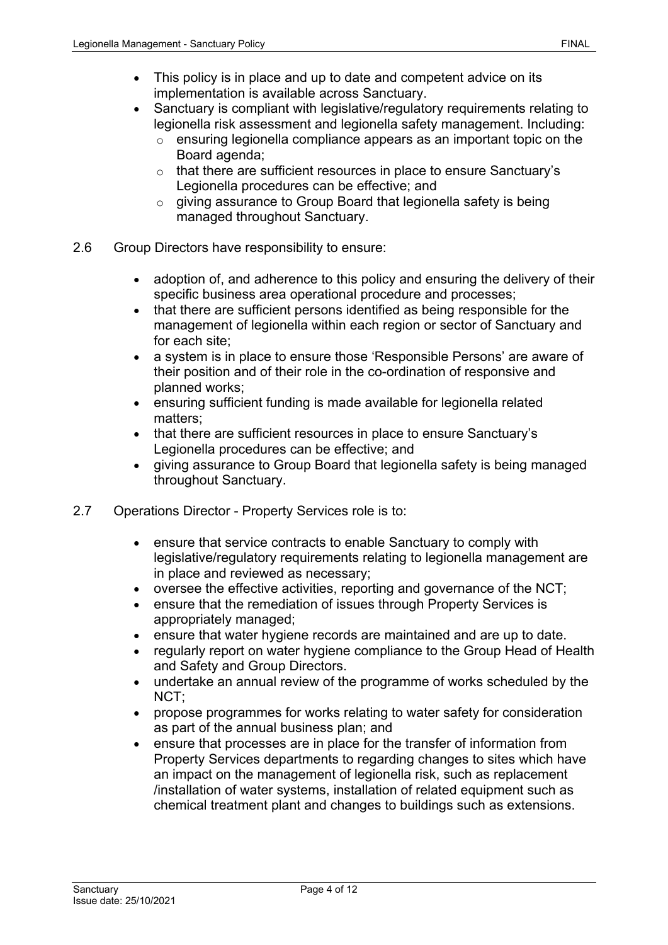- This policy is in place and up to date and competent advice on its implementation is available across Sanctuary.
- Sanctuary is compliant with legislative/regulatory requirements relating to legionella risk assessment and legionella safety management. Including:
	- o ensuring legionella compliance appears as an important topic on the Board agenda;
	- o that there are sufficient resources in place to ensure Sanctuary's Legionella procedures can be effective; and
	- o giving assurance to Group Board that legionella safety is being managed throughout Sanctuary.
- 2.6 Group Directors have responsibility to ensure:
	- adoption of, and adherence to this policy and ensuring the delivery of their specific business area operational procedure and processes;
	- that there are sufficient persons identified as being responsible for the management of legionella within each region or sector of Sanctuary and for each site;
	- a system is in place to ensure those 'Responsible Persons' are aware of their position and of their role in the co-ordination of responsive and planned works;
	- ensuring sufficient funding is made available for legionella related matters;
	- that there are sufficient resources in place to ensure Sanctuary's Legionella procedures can be effective; and
	- giving assurance to Group Board that legionella safety is being managed throughout Sanctuary.
- 2.7 Operations Director Property Services role is to:
	- ensure that service contracts to enable Sanctuary to comply with legislative/regulatory requirements relating to legionella management are in place and reviewed as necessary;
	- oversee the effective activities, reporting and governance of the NCT;
	- ensure that the remediation of issues through Property Services is appropriately managed;
	- ensure that water hygiene records are maintained and are up to date.
	- regularly report on water hygiene compliance to the Group Head of Health and Safety and Group Directors.
	- undertake an annual review of the programme of works scheduled by the NCT;
	- propose programmes for works relating to water safety for consideration as part of the annual business plan; and
	- ensure that processes are in place for the transfer of information from Property Services departments to regarding changes to sites which have an impact on the management of legionella risk, such as replacement /installation of water systems, installation of related equipment such as chemical treatment plant and changes to buildings such as extensions.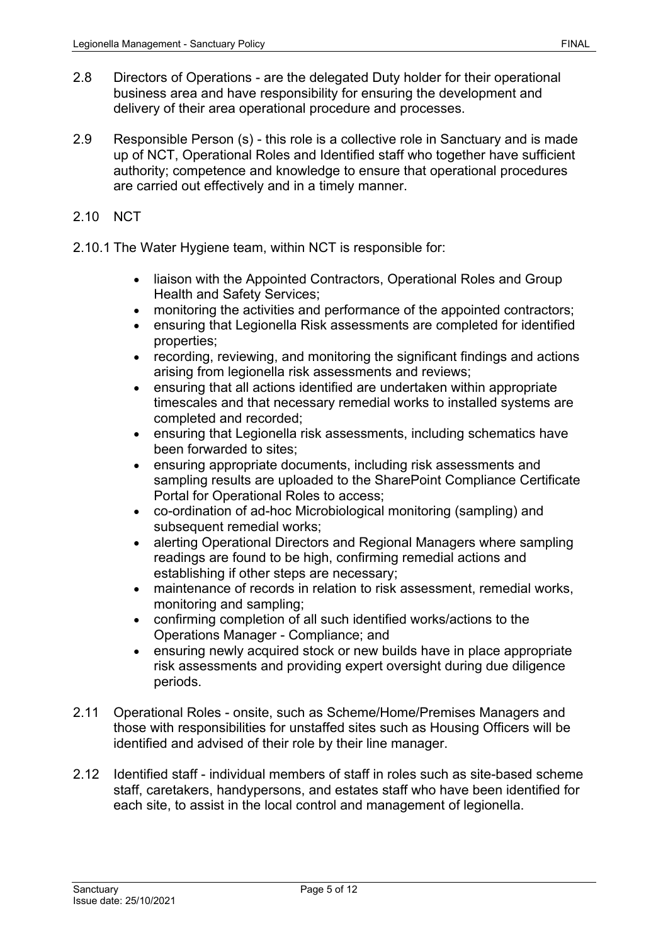- 2.8 Directors of Operations are the delegated Duty holder for their operational business area and have responsibility for ensuring the development and delivery of their area operational procedure and processes.
- 2.9 Responsible Person (s) this role is a collective role in Sanctuary and is made up of NCT, Operational Roles and Identified staff who together have sufficient authority; competence and knowledge to ensure that operational procedures are carried out effectively and in a timely manner.
- 2.10 NCT
- 2.10.1 The Water Hygiene team, within NCT is responsible for:
	- liaison with the Appointed Contractors, Operational Roles and Group Health and Safety Services;
	- monitoring the activities and performance of the appointed contractors;
	- ensuring that Legionella Risk assessments are completed for identified properties;
	- recording, reviewing, and monitoring the significant findings and actions arising from legionella risk assessments and reviews;
	- ensuring that all actions identified are undertaken within appropriate timescales and that necessary remedial works to installed systems are completed and recorded;
	- ensuring that Legionella risk assessments, including schematics have been forwarded to sites;
	- ensuring appropriate documents, including risk assessments and sampling results are uploaded to the SharePoint Compliance Certificate Portal for Operational Roles to access;
	- co-ordination of ad-hoc Microbiological monitoring (sampling) and subsequent remedial works;
	- alerting Operational Directors and Regional Managers where sampling readings are found to be high, confirming remedial actions and establishing if other steps are necessary;
	- maintenance of records in relation to risk assessment, remedial works, monitoring and sampling;
	- confirming completion of all such identified works/actions to the Operations Manager - Compliance; and
	- ensuring newly acquired stock or new builds have in place appropriate risk assessments and providing expert oversight during due diligence periods.
- 2.11 Operational Roles onsite, such as Scheme/Home/Premises Managers and those with responsibilities for unstaffed sites such as Housing Officers will be identified and advised of their role by their line manager.
- 2.12 Identified staff individual members of staff in roles such as site-based scheme staff, caretakers, handypersons, and estates staff who have been identified for each site, to assist in the local control and management of legionella.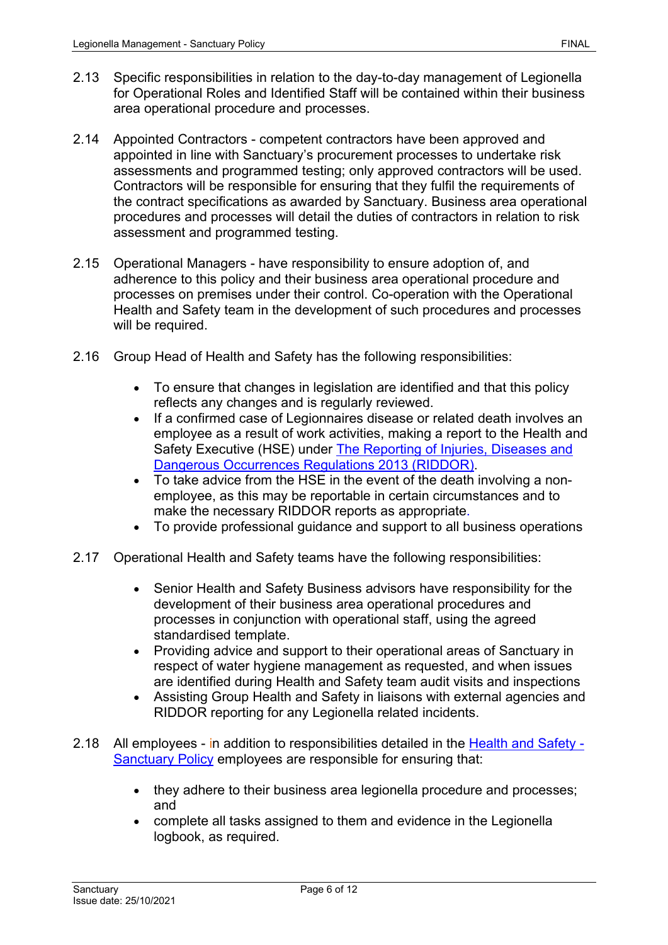- 2.13 Specific responsibilities in relation to the day-to-day management of Legionella for Operational Roles and Identified Staff will be contained within their business area operational procedure and processes.
- 2.14 Appointed Contractors competent contractors have been approved and appointed in line with Sanctuary's procurement processes to undertake risk assessments and programmed testing; only approved contractors will be used. Contractors will be responsible for ensuring that they fulfil the requirements of the contract specifications as awarded by Sanctuary. Business area operational procedures and processes will detail the duties of contractors in relation to risk assessment and programmed testing.
- 2.15 Operational Managers have responsibility to ensure adoption of, and adherence to this policy and their business area operational procedure and processes on premises under their control. Co-operation with the Operational Health and Safety team in the development of such procedures and processes will be required.
- 2.16 Group Head of Health and Safety has the following responsibilities:
	- To ensure that changes in legislation are identified and that this policy reflects any changes and is regularly reviewed.
	- If a confirmed case of Legionnaires disease or related death involves an employee as a result of work activities, making a report to the Health and Safety Executive (HSE) under [The Reporting of Injuries, Diseases and](http://www.legislation.gov.uk/uksi/2013/1471/contents/made)  [Dangerous Occurrences Regulations 2013](http://www.legislation.gov.uk/uksi/2013/1471/contents/made) (RIDDOR).
	- To take advice from the HSE in the event of the death involving a nonemployee, as this may be reportable in certain circumstances and to make the necessary RIDDOR reports as appropriate.
	- To provide professional guidance and support to all business operations
- 2.17 Operational Health and Safety teams have the following responsibilities:
	- Senior Health and Safety Business advisors have responsibility for the development of their business area operational procedures and processes in conjunction with operational staff, using the agreed standardised template.
	- Providing advice and support to their operational areas of Sanctuary in respect of water hygiene management as requested, and when issues are identified during Health and Safety team audit visits and inspections
	- Assisting Group Health and Safety in liaisons with external agencies and RIDDOR reporting for any Legionella related incidents.
- 2.18 All employees in addition to responsibilities detailed in the [Health and Safety -](https://solis/PolicyManagement/policy/Policies/Forms/Policy%20Document%20Set/docsethomepage.aspx?ID=5381&FolderCTID=0x0120D52000DE99EA054D4DF944BE591D81E49729D0008C670BDB86BED740B0B89E295CD8357C&List=a03723e1-d48b-4958-9669-9b86a90ef8b0&RootFolder=%2FPolicyManagement%2Fpolicy%2FPolicies%2FHealth%20and%20Safety%20%2D%20Group&RecSrc=%2FPolicyManagement%2Fpolicy%2FPolicies%2FHealth%20and%20Safety%20%2D%20Group) [Sanctuary Policy](https://solis/PolicyManagement/policy/Policies/Forms/Policy%20Document%20Set/docsethomepage.aspx?ID=5381&FolderCTID=0x0120D52000DE99EA054D4DF944BE591D81E49729D0008C670BDB86BED740B0B89E295CD8357C&List=a03723e1-d48b-4958-9669-9b86a90ef8b0&RootFolder=%2FPolicyManagement%2Fpolicy%2FPolicies%2FHealth%20and%20Safety%20%2D%20Group&RecSrc=%2FPolicyManagement%2Fpolicy%2FPolicies%2FHealth%20and%20Safety%20%2D%20Group) employees are responsible for ensuring that:
	- they adhere to their business area legionella procedure and processes; and
	- complete all tasks assigned to them and evidence in the Legionella logbook, as required.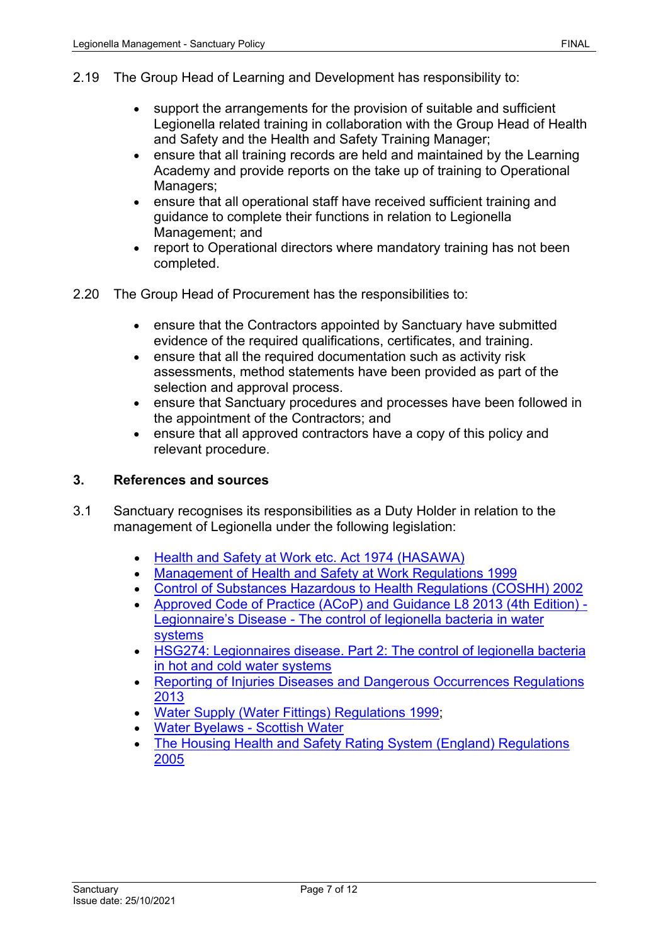- 2.19 The Group Head of Learning and Development has responsibility to:
	- support the arrangements for the provision of suitable and sufficient Legionella related training in collaboration with the Group Head of Health and Safety and the Health and Safety Training Manager;
	- ensure that all training records are held and maintained by the Learning Academy and provide reports on the take up of training to Operational Managers;
	- ensure that all operational staff have received sufficient training and guidance to complete their functions in relation to Legionella Management; and
	- report to Operational directors where mandatory training has not been completed.
- 2.20 The Group Head of Procurement has the responsibilities to:
	- ensure that the Contractors appointed by Sanctuary have submitted evidence of the required qualifications, certificates, and training.
	- ensure that all the required documentation such as activity risk assessments, method statements have been provided as part of the selection and approval process.
	- ensure that Sanctuary procedures and processes have been followed in the appointment of the Contractors; and
	- ensure that all approved contractors have a copy of this policy and relevant procedure.

## **3. References and sources**

- 3.1 Sanctuary recognises its responsibilities as a Duty Holder in relation to the management of Legionella under the following legislation:
	- [Health and Safety at Work etc. Act 1974 \(HASAWA\)](https://www.legislation.gov.uk/ukpga/1974/37)
	- [Management of Health and Safety at Work Regulations 1999](https://www.legislation.gov.uk/uksi/1999/3242/contents/made)
	- [Control of Substances Hazardous to Health Regulations \(COSHH\) 2002](https://www.legislation.gov.uk/uksi/2002/2677/contents/made)
	- [Approved Code of Practice \(ACoP\) and Guidance L8 2013 \(4th Edition\) -](http://www.hse.gov.uk/pubns/priced/l8.pdf) Legionnaire's Disease - [The control of legionella bacteria in water](http://www.hse.gov.uk/pubns/priced/l8.pdf)  [systems](http://www.hse.gov.uk/pubns/priced/l8.pdf)
	- HSG274: Legionnaires disease. Part 2: The control of legionella bacteria in hot and cold water systems
	- [Reporting of Injuries Diseases and Dangerous Occurrences Regulations](https://www.legislation.gov.uk/uksi/2013/1471/contents/made)  [2013](https://www.legislation.gov.uk/uksi/2013/1471/contents/made)
	- [Water Supply \(Water Fittings\) Regulations 1999;](https://www.legislation.gov.uk/uksi/1999/1148/contents/made)
	- [Water Byelaws -](https://www.scottishwater.co.uk/business-and-developers/byelaws-and-trade-effluent/water-byelaws) Scottish Water
	- [The Housing Health and Safety Rating System \(England\) Regulations](https://www.legislation.gov.uk/uksi/2005/3208/pdfs/uksi_20053208_en.pdf)  [2005](https://www.legislation.gov.uk/uksi/2005/3208/pdfs/uksi_20053208_en.pdf)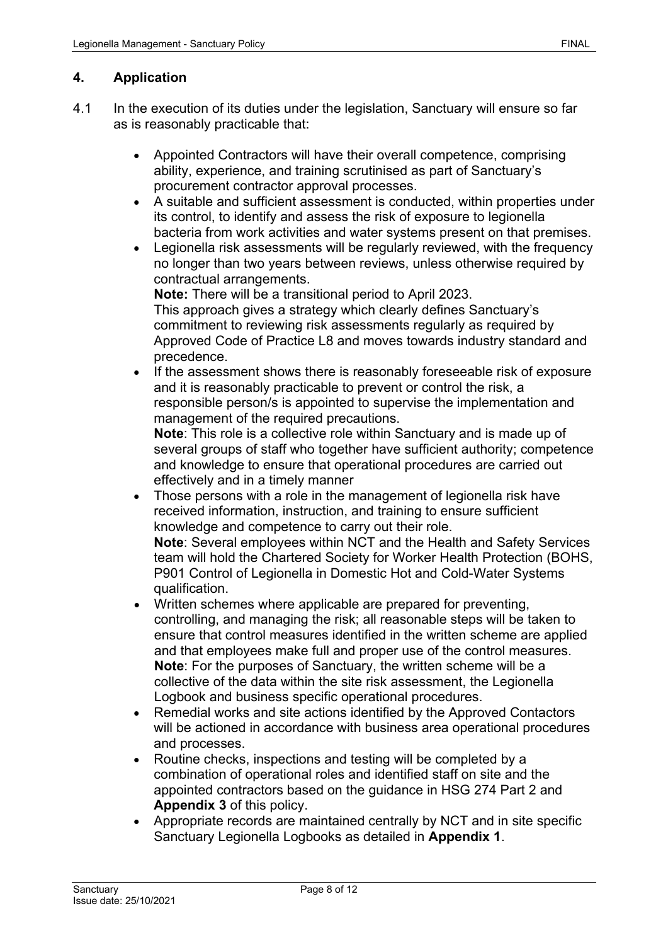## **4. Application**

- 4.1 In the execution of its duties under the legislation, Sanctuary will ensure so far as is reasonably practicable that:
	- Appointed Contractors will have their overall competence, comprising ability, experience, and training scrutinised as part of Sanctuary's procurement contractor approval processes.
	- A suitable and sufficient assessment is conducted, within properties under its control, to identify and assess the risk of exposure to legionella bacteria from work activities and water systems present on that premises.
	- Legionella risk assessments will be regularly reviewed, with the frequency no longer than two years between reviews, unless otherwise required by contractual arrangements.

**Note:** There will be a transitional period to April 2023. This approach gives a strategy which clearly defines Sanctuary's commitment to reviewing risk assessments regularly as required by Approved Code of Practice L8 and moves towards industry standard and precedence.

• If the assessment shows there is reasonably foreseeable risk of exposure and it is reasonably practicable to prevent or control the risk, a responsible person/s is appointed to supervise the implementation and management of the required precautions.

**Note**: This role is a collective role within Sanctuary and is made up of several groups of staff who together have sufficient authority; competence and knowledge to ensure that operational procedures are carried out effectively and in a timely manner

Those persons with a role in the management of legionella risk have received information, instruction, and training to ensure sufficient knowledge and competence to carry out their role.

**Note**: Several employees within NCT and the Health and Safety Services team will hold the Chartered Society for Worker Health Protection (BOHS, P901 Control of Legionella in Domestic Hot and Cold-Water Systems qualification.

- Written schemes where applicable are prepared for preventing, controlling, and managing the risk; all reasonable steps will be taken to ensure that control measures identified in the written scheme are applied and that employees make full and proper use of the control measures. **Note**: For the purposes of Sanctuary, the written scheme will be a collective of the data within the site risk assessment, the Legionella Logbook and business specific operational procedures.
- Remedial works and site actions identified by the Approved Contactors will be actioned in accordance with business area operational procedures and processes.
- Routine checks, inspections and testing will be completed by a combination of operational roles and identified staff on site and the appointed contractors based on the guidance in HSG 274 Part 2 and **Appendix 3** of this policy.
- Appropriate records are maintained centrally by NCT and in site specific Sanctuary Legionella Logbooks as detailed in **Appendix 1**.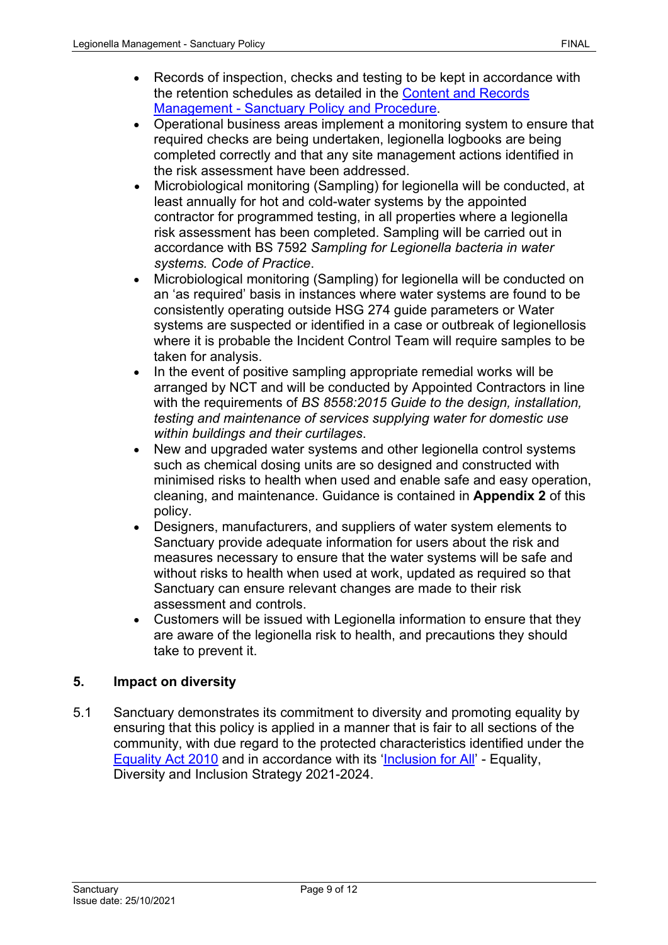- Records of inspection, checks and testing to be kept in accordance with the retention schedules as detailed in the [Content and Records](https://solis/PolicyManagement/policy/Policies/Forms/Policy%20Document%20Set/docsethomepage.aspx?ID=4124&FolderCTID=0x0120D52000DE99EA054D4DF944BE591D81E49729D0008C670BDB86BED740B0B89E295CD8357C&List=a03723e1-d48b-4958-9669-9b86a90ef8b0&RootFolder=%2FPolicyManagement%2Fpolicy%2FPolicies%2FContent%20and%20Records%20Management%20%2D%20Group&RecSrc=%2FPolicyManagement%2Fpolicy%2FPolicies%2FContent%20and%20Records%20Management%20%2D%20Group)  Management - [Sanctuary Policy and Procedure.](https://solis/PolicyManagement/policy/Policies/Forms/Policy%20Document%20Set/docsethomepage.aspx?ID=4124&FolderCTID=0x0120D52000DE99EA054D4DF944BE591D81E49729D0008C670BDB86BED740B0B89E295CD8357C&List=a03723e1-d48b-4958-9669-9b86a90ef8b0&RootFolder=%2FPolicyManagement%2Fpolicy%2FPolicies%2FContent%20and%20Records%20Management%20%2D%20Group&RecSrc=%2FPolicyManagement%2Fpolicy%2FPolicies%2FContent%20and%20Records%20Management%20%2D%20Group)
- Operational business areas implement a monitoring system to ensure that required checks are being undertaken, legionella logbooks are being completed correctly and that any site management actions identified in the risk assessment have been addressed.
- Microbiological monitoring (Sampling) for legionella will be conducted, at least annually for hot and cold-water systems by the appointed contractor for programmed testing, in all properties where a legionella risk assessment has been completed. Sampling will be carried out in accordance with BS 7592 *Sampling for Legionella bacteria in water systems. Code of Practice*.
- Microbiological monitoring (Sampling) for legionella will be conducted on an 'as required' basis in instances where water systems are found to be consistently operating outside HSG 274 guide parameters or Water systems are suspected or identified in a case or outbreak of legionellosis where it is probable the Incident Control Team will require samples to be taken for analysis.
- In the event of positive sampling appropriate remedial works will be arranged by NCT and will be conducted by Appointed Contractors in line with the requirements of *BS 8558:2015 Guide to the design, installation, testing and maintenance of services supplying water for domestic use within buildings and their curtilages*.
- New and upgraded water systems and other legionella control systems such as chemical dosing units are so designed and constructed with minimised risks to health when used and enable safe and easy operation, cleaning, and maintenance. Guidance is contained in **Appendix 2** of this policy.
- Designers, manufacturers, and suppliers of water system elements to Sanctuary provide adequate information for users about the risk and measures necessary to ensure that the water systems will be safe and without risks to health when used at work, updated as required so that Sanctuary can ensure relevant changes are made to their risk assessment and controls.
- Customers will be issued with Legionella information to ensure that they are aware of the legionella risk to health, and precautions they should take to prevent it.

# **5. Impact on diversity**

5.1 Sanctuary demonstrates its commitment to diversity and promoting equality by ensuring that this policy is applied in a manner that is fair to all sections of the community, with due regard to the protected characteristics identified under the [Equality Act 2010](http://www.legislation.gov.uk/ukpga/2010/15/contents) and in accordance with its ['Inclusion for All'](https://solis/Diversity/Pages/Inclusion-for-all.aspx) - Equality, Diversity and Inclusion Strategy 2021-2024.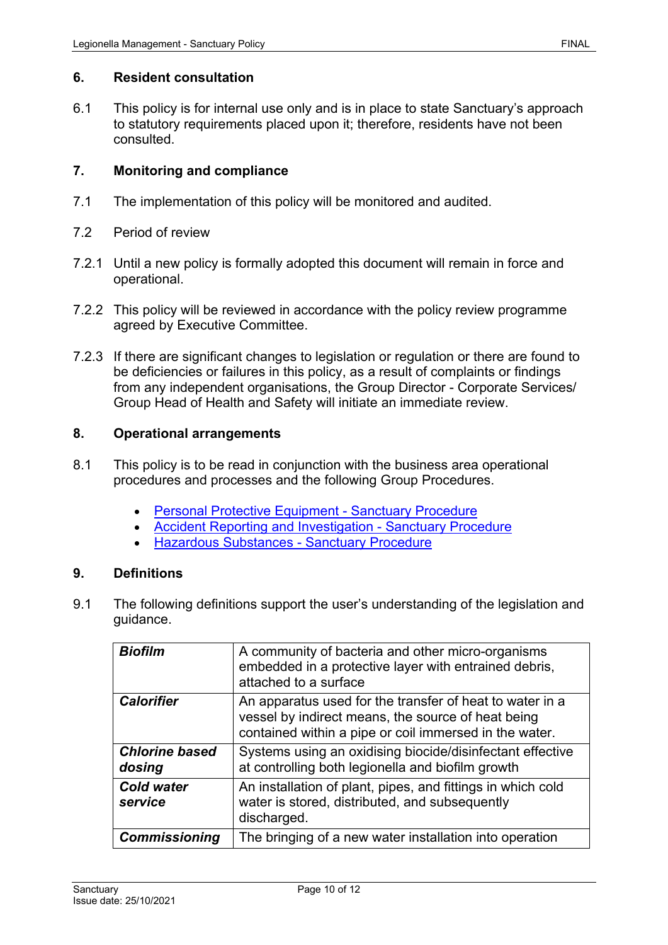### **6. Resident consultation**

6.1 This policy is for internal use only and is in place to state Sanctuary's approach to statutory requirements placed upon it; therefore, residents have not been consulted.

### **7. Monitoring and compliance**

- 7.1 The implementation of this policy will be monitored and audited.
- 7.2 Period of review
- 7.2.1 Until a new policy is formally adopted this document will remain in force and operational.
- 7.2.2 This policy will be reviewed in accordance with the policy review programme agreed by Executive Committee.
- 7.2.3 If there are significant changes to legislation or regulation or there are found to be deficiencies or failures in this policy, as a result of complaints or findings from any independent organisations, the Group Director - Corporate Services/ Group Head of Health and Safety will initiate an immediate review.

### **8. Operational arrangements**

- 8.1 This policy is to be read in conjunction with the business area operational procedures and processes and the following Group Procedures.
	- [Personal Protective Equipment -](https://solis/PolicyManagement/policy/Policies/Forms/Policy%20Document%20Set/docsethomepage.aspx?ID=4537&FolderCTID=0x0120D52000DE99EA054D4DF944BE591D81E49729D0008C670BDB86BED740B0B89E295CD8357C&List=a03723e1-d48b-4958-9669-9b86a90ef8b0&RootFolder=%2FPolicyManagement%2Fpolicy%2FPolicies%2FPersonal%20Protective%20Equipment%20%2D%20Group&RecSrc=%2FPolicyManagement%2Fpolicy%2FPolicies%2FPersonal%20Protective%20Equipment%20%2D%20Group) Sanctuary Procedure
	- [Accident Reporting and Investigation -](https://solis/PolicyManagement/policy/Policies/Forms/Policy%20Document%20Set/docsethomepage.aspx?ID=4657&FolderCTID=0x0120D52000DE99EA054D4DF944BE591D81E49729D0008C670BDB86BED740B0B89E295CD8357C&List=a03723e1-d48b-4958-9669-9b86a90ef8b0&RootFolder=%2FPolicyManagement%2Fpolicy%2FPolicies%2FAccident%20and%20Incident%20Reporting%20and%20Investigation%20%2D%20Group&RecSrc=%2FPolicyManagement%2Fpolicy%2FPolicies%2FAccident%20and%20Incident%20Reporting%20and%20Investigation%20%2D%20Group) Sanctuary Procedure
	- [Hazardous Substances -](https://solis/PolicyManagement/policy/Policies/Forms/Policy%20Document%20Set/docsethomepage.aspx?ID=4233&FolderCTID=0x0120D52000DE99EA054D4DF944BE591D81E49729D0008C670BDB86BED740B0B89E295CD8357C&List=a03723e1-d48b-4958-9669-9b86a90ef8b0&RootFolder=%2FPolicyManagement%2Fpolicy%2FPolicies%2FHazardous%20Substances%20%2D%20Group&RecSrc=%2FPolicyManagement%2Fpolicy%2FPolicies%2FHazardous%20Substances%20%2D%20Group) Sanctuary Procedure

### **9. Definitions**

9.1 The following definitions support the user's understanding of the legislation and guidance.

| <b>Biofilm</b>                  | A community of bacteria and other micro-organisms<br>embedded in a protective layer with entrained debris,<br>attached to a surface                                      |
|---------------------------------|--------------------------------------------------------------------------------------------------------------------------------------------------------------------------|
| <b>Calorifier</b>               | An apparatus used for the transfer of heat to water in a<br>vessel by indirect means, the source of heat being<br>contained within a pipe or coil immersed in the water. |
| <b>Chlorine based</b><br>dosing | Systems using an oxidising biocide/disinfectant effective<br>at controlling both legionella and biofilm growth                                                           |
| <b>Cold water</b><br>service    | An installation of plant, pipes, and fittings in which cold<br>water is stored, distributed, and subsequently<br>discharged.                                             |
| <b>Commissioning</b>            | The bringing of a new water installation into operation                                                                                                                  |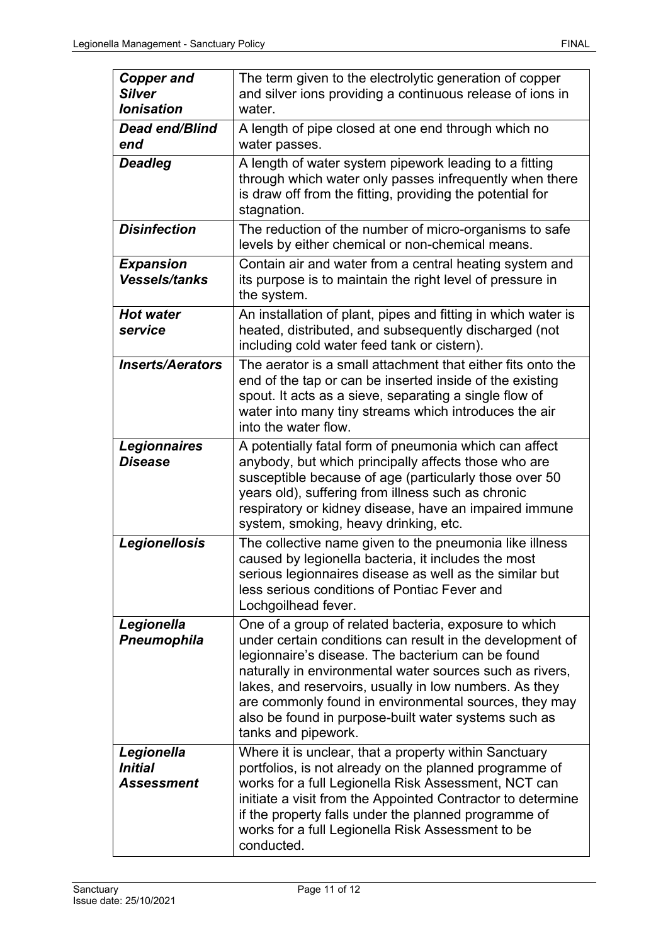| <b>Copper and</b><br><b>Silver</b><br><b>lonisation</b>  | The term given to the electrolytic generation of copper<br>and silver ions providing a continuous release of ions in<br>water.                                                                                                                                                                                                                                                                                                        |
|----------------------------------------------------------|---------------------------------------------------------------------------------------------------------------------------------------------------------------------------------------------------------------------------------------------------------------------------------------------------------------------------------------------------------------------------------------------------------------------------------------|
| <b>Dead end/Blind</b><br>end                             | A length of pipe closed at one end through which no<br>water passes.                                                                                                                                                                                                                                                                                                                                                                  |
| <b>Deadleg</b>                                           | A length of water system pipework leading to a fitting<br>through which water only passes infrequently when there<br>is draw off from the fitting, providing the potential for<br>stagnation.                                                                                                                                                                                                                                         |
| <b>Disinfection</b>                                      | The reduction of the number of micro-organisms to safe<br>levels by either chemical or non-chemical means.                                                                                                                                                                                                                                                                                                                            |
| <b>Expansion</b><br><b>Vessels/tanks</b>                 | Contain air and water from a central heating system and<br>its purpose is to maintain the right level of pressure in<br>the system.                                                                                                                                                                                                                                                                                                   |
| <b>Hot water</b><br>service                              | An installation of plant, pipes and fitting in which water is<br>heated, distributed, and subsequently discharged (not<br>including cold water feed tank or cistern).                                                                                                                                                                                                                                                                 |
| <b>Inserts/Aerators</b>                                  | The aerator is a small attachment that either fits onto the<br>end of the tap or can be inserted inside of the existing<br>spout. It acts as a sieve, separating a single flow of<br>water into many tiny streams which introduces the air<br>into the water flow.                                                                                                                                                                    |
| <b>Legionnaires</b><br><b>Disease</b>                    | A potentially fatal form of pneumonia which can affect<br>anybody, but which principally affects those who are<br>susceptible because of age (particularly those over 50<br>years old), suffering from illness such as chronic<br>respiratory or kidney disease, have an impaired immune<br>system, smoking, heavy drinking, etc.                                                                                                     |
| Legionellosis                                            | The collective name given to the pneumonia like illness<br>caused by legionella bacteria, it includes the most<br>serious legionnaires disease as well as the similar but<br>less serious conditions of Pontiac Fever and<br>Lochgoilhead fever.                                                                                                                                                                                      |
| Legionella<br><b>Pneumophila</b>                         | One of a group of related bacteria, exposure to which<br>under certain conditions can result in the development of<br>legionnaire's disease. The bacterium can be found<br>naturally in environmental water sources such as rivers,<br>lakes, and reservoirs, usually in low numbers. As they<br>are commonly found in environmental sources, they may<br>also be found in purpose-built water systems such as<br>tanks and pipework. |
| Legionella<br><i><b>Initial</b></i><br><b>Assessment</b> | Where it is unclear, that a property within Sanctuary<br>portfolios, is not already on the planned programme of<br>works for a full Legionella Risk Assessment, NCT can<br>initiate a visit from the Appointed Contractor to determine<br>if the property falls under the planned programme of<br>works for a full Legionella Risk Assessment to be<br>conducted.                                                                     |